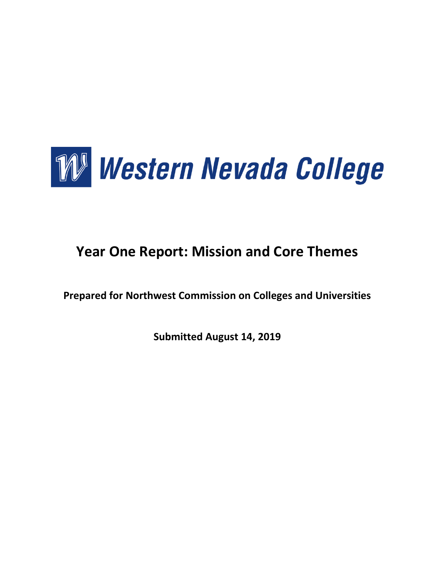

# **Year One Report: Mission and Core Themes**

**Prepared for Northwest Commission on Colleges and Universities**

**Submitted August 14, 2019**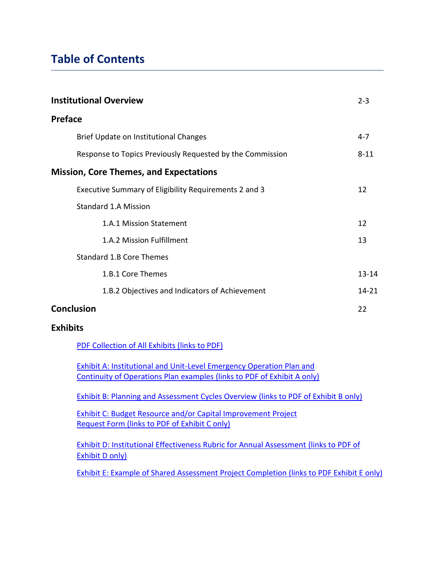## **Table of Contents**

| <b>Institutional Overview</b>                             | $2 - 3$   |
|-----------------------------------------------------------|-----------|
| <b>Preface</b>                                            |           |
| Brief Update on Institutional Changes                     | $4 - 7$   |
| Response to Topics Previously Requested by the Commission | $8 - 11$  |
| <b>Mission, Core Themes, and Expectations</b>             |           |
| Executive Summary of Eligibility Requirements 2 and 3     | 12        |
| Standard 1.A Mission                                      |           |
| 1.A.1 Mission Statement                                   | 12        |
| 1.A.2 Mission Fulfillment                                 | 13        |
| <b>Standard 1.B Core Themes</b>                           |           |
| 1.B.1 Core Themes                                         | $13 - 14$ |
| 1.B.2 Objectives and Indicators of Achievement            | $14 - 21$ |
| <b>Conclusion</b>                                         | 22        |
| <b>Exhibits</b>                                           |           |

[PDF Collection of All Exhibits \(links to PDF\)](https://drive.google.com/file/d/1LEjmVxxAxy4YsKvSglgh7k6fzxTElBUm/view?usp=sharing)

[Exhibit A: Institutional and Unit-Level Emergency Operation Plan and](https://drive.google.com/open?id=12ZnPa_8UI5N2VthBFMfNzVV6MugqBP5v) [Continuity of Operations Plan examples](https://drive.google.com/open?id=12ZnPa_8UI5N2VthBFMfNzVV6MugqBP5v) (links to PDF of Exhibit A only)

[Exhibit B: Planning and Assessment Cycles Overview](https://drive.google.com/file/d/1XxOOqDBeIYvqxVtyw12lLBm21DpU7nhG/view?usp=sharing) (links to PDF of Exhibit B only)

[Exhibit C: Budget Resource and/or Capital Improvement Project](https://drive.google.com/file/d/1xHgqQ78ouhWkokq_D3JLMjHTvvXr2Ye8/view?usp=sharing) Request Form [\(links to PDF of Exhibit C only\)](https://drive.google.com/file/d/1xHgqQ78ouhWkokq_D3JLMjHTvvXr2Ye8/view?usp=sharing)

[Exhibit D: Institutional Effectiveness Rubric for Annual Assessment](https://drive.google.com/file/d/1sgZBtI1iR2Dch5Ugl5MOdw0SAPFX2z94/view?usp=sharing) (links to PDF of [Exhibit D only\)](https://drive.google.com/file/d/1sgZBtI1iR2Dch5Ugl5MOdw0SAPFX2z94/view?usp=sharing)

[Exhibit E: Example of Shared Assessment Project Completion \(links to PDF Exhibit E only\)](https://drive.google.com/file/d/1kuGUoSM7SK_bCQqB7B480QOSdCf105hb/view?usp=sharing)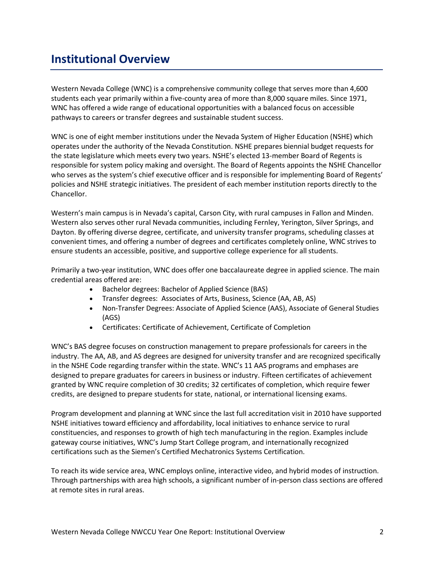## **Institutional Overview**

Western Nevada College (WNC) is a comprehensive community college that serves more than 4,600 students each year primarily within a five-county area of more than 8,000 square miles. Since 1971, WNC has offered a wide range of educational opportunities with a balanced focus on accessible pathways to careers or transfer degrees and sustainable student success.

WNC is one of eight member institutions under the Nevada System of Higher Education (NSHE) which operates under the authority of the Nevada Constitution. NSHE prepares biennial budget requests for the state legislature which meets every two years. NSHE's elected 13-member Board of Regents is responsible for system policy making and oversight. The Board of Regents appoints the NSHE Chancellor who serves as the system's chief executive officer and is responsible for implementing Board of Regents' policies and NSHE strategic initiatives. The president of each member institution reports directly to the Chancellor.

Western's main campus is in Nevada's capital, Carson City, with rural campuses in Fallon and Minden. Western also serves other rural Nevada communities, including Fernley, Yerington, Silver Springs, and Dayton. By offering diverse degree, certificate, and university transfer programs, scheduling classes at convenient times, and offering a number of degrees and certificates completely online, WNC strives to ensure students an accessible, positive, and supportive college experience for all students.

Primarily a two-year institution, WNC does offer one baccalaureate degree in applied science. The main credential areas offered are:

- Bachelor degrees: Bachelor of Applied Science (BAS)
- Transfer degrees: Associates of Arts, Business, Science (AA, AB, AS)
- Non-Transfer Degrees: Associate of Applied Science (AAS), Associate of General Studies (AGS)
- Certificates: Certificate of Achievement, Certificate of Completion

WNC's BAS degree focuses on construction management to prepare professionals for careers in the industry. The AA, AB, and AS degrees are designed for university transfer and are recognized specifically in the NSHE Code regarding transfer within the state. WNC's 11 AAS programs and emphases are designed to prepare graduates for careers in business or industry. Fifteen certificates of achievement granted by WNC require completion of 30 credits; 32 certificates of completion, which require fewer credits, are designed to prepare students for state, national, or international licensing exams.

Program development and planning at WNC since the last full accreditation visit in 2010 have supported NSHE initiatives toward efficiency and affordability, local initiatives to enhance service to rural constituencies, and responses to growth of high tech manufacturing in the region. Examples include gateway course initiatives, WNC's Jump Start College program, and internationally recognized certifications such as the Siemen's Certified Mechatronics Systems Certification.

To reach its wide service area, WNC employs online, interactive video, and hybrid modes of instruction. Through partnerships with area high schools, a significant number of in-person class sections are offered at remote sites in rural areas.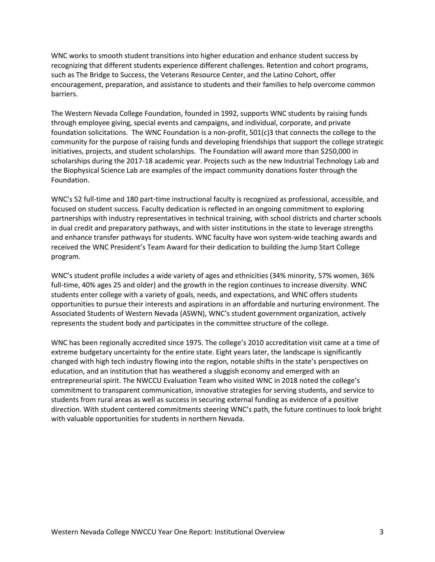WNC works to smooth student transitions into higher education and enhance student success by recognizing that different students experience different challenges. Retention and cohort programs, such as The Bridge to Success, the Veterans Resource Center, and the Latino Cohort, offer encouragement, preparation, and assistance to students and their families to help overcome common barriers.

The Western Nevada College Foundation, founded in 1992, supports WNC students by raising funds through employee giving, special events and campaigns, and individual, corporate, and private foundation solicitations. The WNC Foundation is a non-profit, 501(c)3 that connects the college to the community for the purpose of raising funds and developing friendships that support the college strategic initiatives, projects, and student scholarships. The Foundation will award more than \$250,000 in scholarships during the 2017-18 academic year. Projects such as the new Industrial Technology Lab and the Biophysical Science Lab are examples of the impact community donations foster through the Foundation.

WNC's 52 full-time and 180 part-time instructional faculty is recognized as professional, accessible, and focused on student success. Faculty dedication is reflected in an ongoing commitment to exploring partnerships with industry representatives in technical training, with school districts and charter schools in dual credit and preparatory pathways, and with sister institutions in the state to leverage strengths and enhance transfer pathways for students. WNC faculty have won system-wide teaching awards and received the WNC President's Team Award for their dedication to building the Jump Start College program.

WNC's student profile includes a wide variety of ages and ethnicities (34% minority, 57% women, 36% full-time, 40% ages 25 and older) and the growth in the region continues to increase diversity. WNC students enter college with a variety of goals, needs, and expectations, and WNC offers students opportunities to pursue their interests and aspirations in an affordable and nurturing environment. The Associated Students of Western Nevada (ASWN), WNC's student government organization, actively represents the student body and participates in the committee structure of the college.

WNC has been regionally accredited since 1975. The college's 2010 accreditation visit came at a time of extreme budgetary uncertainty for the entire state. Eight years later, the landscape is significantly changed with high tech industry flowing into the region, notable shifts in the state's perspectives on education, and an institution that has weathered a sluggish economy and emerged with an entrepreneurial spirit. The NWCCU Evaluation Team who visited WNC in 2018 noted the college's commitment to transparent communication, innovative strategies for serving students, and service to students from rural areas as well as success in securing external funding as evidence of a positive direction. With student centered commitments steering WNC's path, the future continues to look bright with valuable opportunities for students in northern Nevada.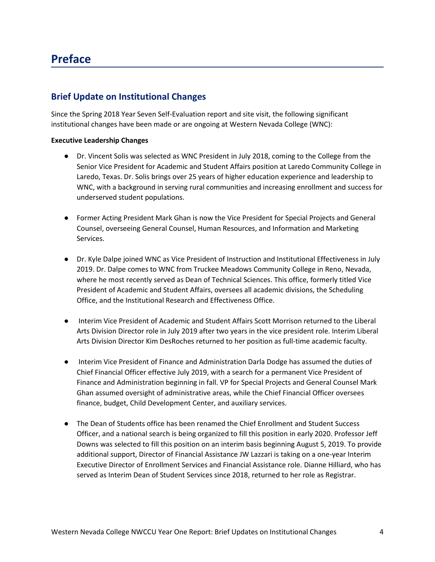## **Preface**

## **Brief Update on Institutional Changes**

Since the Spring 2018 Year Seven Self-Evaluation report and site visit, the following significant institutional changes have been made or are ongoing at Western Nevada College (WNC):

#### **Executive Leadership Changes**

- Dr. Vincent Solis was selected as WNC President in July 2018, coming to the College from the Senior Vice President for Academic and Student Affairs position at Laredo Community College in Laredo, Texas. Dr. Solis brings over 25 years of higher education experience and leadership to WNC, with a background in serving rural communities and increasing enrollment and success for underserved student populations.
- Former Acting President Mark Ghan is now the Vice President for Special Projects and General Counsel, overseeing General Counsel, Human Resources, and Information and Marketing Services.
- Dr. Kyle Dalpe joined WNC as Vice President of Instruction and Institutional Effectiveness in July 2019. Dr. Dalpe comes to WNC from Truckee Meadows Community College in Reno, Nevada, where he most recently served as Dean of Technical Sciences. This office, formerly titled Vice President of Academic and Student Affairs, oversees all academic divisions, the Scheduling Office, and the Institutional Research and Effectiveness Office.
- Interim Vice President of Academic and Student Affairs Scott Morrison returned to the Liberal Arts Division Director role in July 2019 after two years in the vice president role. Interim Liberal Arts Division Director Kim DesRoches returned to her position as full-time academic faculty.
- Interim Vice President of Finance and Administration Darla Dodge has assumed the duties of Chief Financial Officer effective July 2019, with a search for a permanent Vice President of Finance and Administration beginning in fall. VP for Special Projects and General Counsel Mark Ghan assumed oversight of administrative areas, while the Chief Financial Officer oversees finance, budget, Child Development Center, and auxiliary services.
- The Dean of Students office has been renamed the Chief Enrollment and Student Success Officer, and a national search is being organized to fill this position in early 2020. Professor Jeff Downs was selected to fill this position on an interim basis beginning August 5, 2019. To provide additional support, Director of Financial Assistance JW Lazzari is taking on a one-year Interim Executive Director of Enrollment Services and Financial Assistance role. Dianne Hilliard, who has served as Interim Dean of Student Services since 2018, returned to her role as Registrar.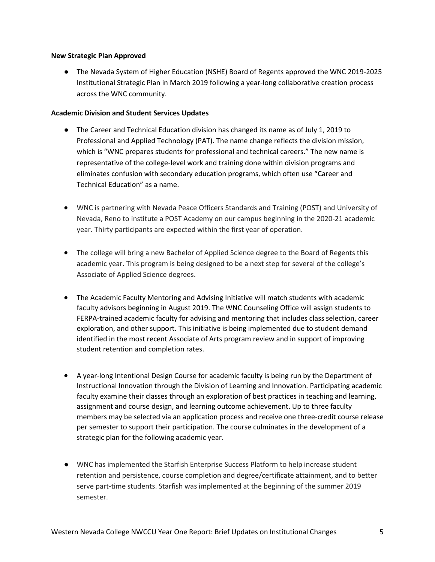#### **New Strategic Plan Approved**

● The Nevada System of Higher Education (NSHE) Board of Regents approved the WNC 2019-2025 Institutional Strategic Plan in March 2019 following a year-long collaborative creation process across the WNC community.

#### **Academic Division and Student Services Updates**

- The Career and Technical Education division has changed its name as of July 1, 2019 to Professional and Applied Technology (PAT). The name change reflects the division mission, which is "WNC prepares students for professional and technical careers." The new name is representative of the college-level work and training done within division programs and eliminates confusion with secondary education programs, which often use "Career and Technical Education" as a name.
- WNC is partnering with Nevada Peace Officers Standards and Training (POST) and University of Nevada, Reno to institute a POST Academy on our campus beginning in the 2020-21 academic year. Thirty participants are expected within the first year of operation.
- The college will bring a new Bachelor of Applied Science degree to the Board of Regents this academic year. This program is being designed to be a next step for several of the college's Associate of Applied Science degrees.
- The Academic Faculty Mentoring and Advising Initiative will match students with academic faculty advisors beginning in August 2019. The WNC Counseling Office will assign students to FERPA-trained academic faculty for advising and mentoring that includes class selection, career exploration, and other support. This initiative is being implemented due to student demand identified in the most recent Associate of Arts program review and in support of improving student retention and completion rates.
- A year-long Intentional Design Course for academic faculty is being run by the Department of Instructional Innovation through the Division of Learning and Innovation. Participating academic faculty examine their classes through an exploration of best practices in teaching and learning, assignment and course design, and learning outcome achievement. Up to three faculty members may be selected via an application process and receive one three-credit course release per semester to support their participation. The course culminates in the development of a strategic plan for the following academic year.
- WNC has implemented the Starfish Enterprise Success Platform to help increase student retention and persistence, course completion and degree/certificate attainment, and to better serve part-time students. Starfish was implemented at the beginning of the summer 2019 semester.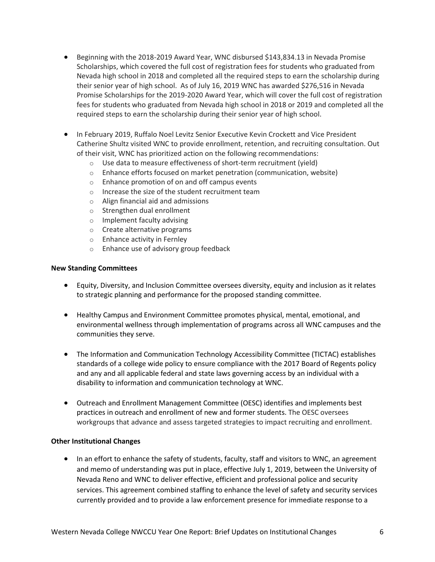- Beginning with the 2018-2019 Award Year, WNC disbursed \$143,834.13 in Nevada Promise Scholarships, which covered the full cost of registration fees for students who graduated from Nevada high school in 2018 and completed all the required steps to earn the scholarship during their senior year of high school. As of July 16, 2019 WNC has awarded \$276,516 in Nevada Promise Scholarships for the 2019-2020 Award Year, which will cover the full cost of registration fees for students who graduated from Nevada high school in 2018 or 2019 and completed all the required steps to earn the scholarship during their senior year of high school.
- **In February 2019, Ruffalo Noel Levitz Senior Executive Kevin Crockett and Vice President** Catherine Shultz visited WNC to provide enrollment, retention, and recruiting consultation. Out of their visit, WNC has prioritized action on the following recommendations:
	- o Use data to measure effectiveness of short-term recruitment (yield)
	- $\circ$  Enhance efforts focused on market penetration (communication, website)
	- o Enhance promotion of on and off campus events
	- o Increase the size of the student recruitment team
	- o Align financial aid and admissions
	- o Strengthen dual enrollment
	- o Implement faculty advising
	- o Create alternative programs
	- o Enhance activity in Fernley
	- o Enhance use of advisory group feedback

#### **New Standing Committees**

- Equity, Diversity, and Inclusion Committee oversees diversity, equity and inclusion as it relates to strategic planning and performance for the proposed standing committee.
- Healthy Campus and Environment Committee promotes physical, mental, emotional, and environmental wellness through implementation of programs across all WNC campuses and the communities they serve.
- The Information and Communication Technology Accessibility Committee (TICTAC) establishes standards of a college wide policy to ensure compliance with the 2017 Board of Regents policy and any and all applicable federal and state laws governing access by an individual with a disability to information and communication technology at WNC.
- Outreach and Enrollment Management Committee (OESC) identifies and implements best practices in outreach and enrollment of new and former students. The OESC oversees workgroups that advance and assess targeted strategies to impact recruiting and enrollment.

#### **Other Institutional Changes**

• In an effort to enhance the safety of students, faculty, staff and visitors to WNC, an agreement and memo of understanding was put in place, effective July 1, 2019, between the University of Nevada Reno and WNC to deliver effective, efficient and professional police and security services. This agreement combined staffing to enhance the level of safety and security services currently provided and to provide a law enforcement presence for immediate response to a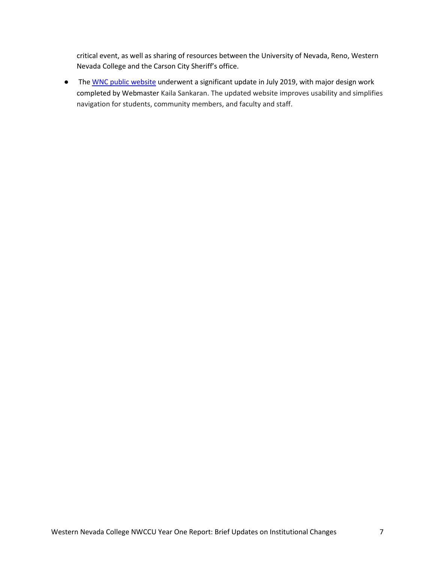critical event, as well as sharing of resources between the University of Nevada, Reno, Western Nevada College and the Carson City Sheriff's office.

● Th[e WNC public website](https://www.wnc.edu/) underwent a significant update in July 2019, with major design work completed by Webmaster Kaila Sankaran. The updated website improves usability and simplifies navigation for students, community members, and faculty and staff.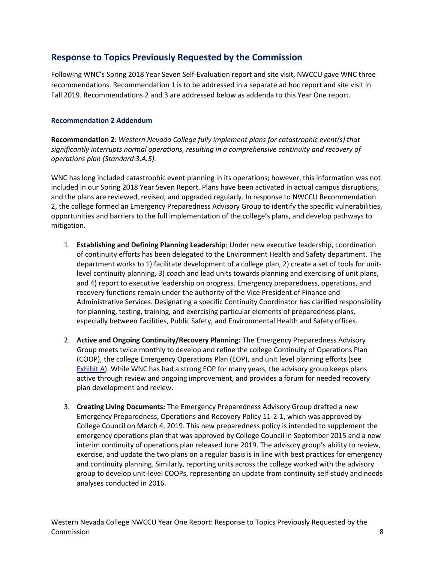## **Response to Topics Previously Requested by the Commission**

Following WNC's Spring 2018 Year Seven Self-Evaluation report and site visit, NWCCU gave WNC three recommendations. Recommendation 1 is to be addressed in a separate ad hoc report and site visit in Fall 2019. Recommendations 2 and 3 are addressed below as addenda to this Year One report.

#### **Recommendation 2 Addendum**

**Recommendation 2**: *Western Nevada College fully implement plans for catastrophic event(s) that significantly interrupts normal operations, resulting in a comprehensive continuity and recovery of operations plan (Standard 3.A.5).*

WNC has long included catastrophic event planning in its operations; however, this information was not included in our Spring 2018 Year Seven Report. Plans have been activated in actual campus disruptions, and the plans are reviewed, revised, and upgraded regularly. In response to NWCCU Recommendation 2, the college formed an Emergency Preparedness Advisory Group to identify the specific vulnerabilities, opportunities and barriers to the full implementation of the college's plans, and develop pathways to mitigation.

- 1. **Establishing and Defining Planning Leadership**: Under new executive leadership, coordination of continuity efforts has been delegated to the Environment Health and Safety department. The department works to 1) facilitate development of a college plan, 2) create a set of tools for unitlevel continuity planning, 3) coach and lead units towards planning and exercising of unit plans, and 4) report to executive leadership on progress. Emergency preparedness, operations, and recovery functions remain under the authority of the Vice President of Finance and Administrative Services. Designating a specific Continuity Coordinator has clarified responsibility for planning, testing, training, and exercising particular elements of preparedness plans, especially between Facilities, Public Safety, and Environmental Health and Safety offices.
- 2. **Active and Ongoing Continuity/Recovery Planning:** The Emergency Preparedness Advisory Group meets twice monthly to develop and refine the college Continuity of Operations Plan (COOP), the college Emergency Operations Plan (EOP), and unit level planning efforts (see [Exhibit A\)](https://drive.google.com/open?id=12ZnPa_8UI5N2VthBFMfNzVV6MugqBP5v). While WNC has had a strong EOP for many years, the advisory group keeps plans active through review and ongoing improvement, and provides a forum for needed recovery plan development and review.
- 3. **Creating Living Documents:** The Emergency Preparedness Advisory Group drafted a new Emergency Preparedness, Operations and Recovery Policy 11-2-1, which was approved by College Council on March 4, 2019. This new preparedness policy is intended to supplement the emergency operations plan that was approved by College Council in September 2015 and a new interim continuity of operations plan released June 2019. The advisory group's ability to review, exercise, and update the two plans on a regular basis is in line with best practices for emergency and continuity planning. Similarly, reporting units across the college worked with the advisory group to develop unit-level COOPs, representing an update from continuity self-study and needs analyses conducted in 2016.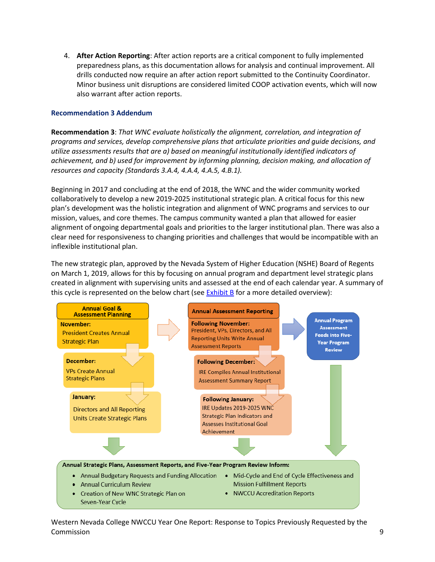4. **After Action Reporting**: After action reports are a critical component to fully implemented preparedness plans, as this documentation allows for analysis and continual improvement. All drills conducted now require an after action report submitted to the Continuity Coordinator. Minor business unit disruptions are considered limited COOP activation events, which will now also warrant after action reports.

#### **Recommendation 3 Addendum**

**Recommendation 3**: *That WNC evaluate holistically the alignment, correlation, and integration of programs and services, develop comprehensive plans that articulate priorities and guide decisions, and utilize assessments results that are a) based on meaningful institutionally identified indicators of achievement, and b) used for improvement by informing planning, decision making, and allocation of resources and capacity (Standards 3.A.4, 4.A.4, 4.A.5, 4.B.1).*

Beginning in 2017 and concluding at the end of 2018, the WNC and the wider community worked collaboratively to develop a new 2019-2025 institutional strategic plan. A critical focus for this new plan's development was the holistic integration and alignment of WNC programs and services to our mission, values, and core themes. The campus community wanted a plan that allowed for easier alignment of ongoing departmental goals and priorities to the larger institutional plan. There was also a clear need for responsiveness to changing priorities and challenges that would be incompatible with an inflexible institutional plan.

The new strategic plan, approved by the Nevada System of Higher Education (NSHE) Board of Regents on March 1, 2019, allows for this by focusing on annual program and department level strategic plans created in alignment with supervising units and assessed at the end of each calendar year. A summary of this cycle is represented on the below chart (se[e Exhibit B](https://drive.google.com/file/d/1XxOOqDBeIYvqxVtyw12lLBm21DpU7nhG/view?usp=sharing) for a more detailed overview):



Western Nevada College NWCCU Year One Report: Response to Topics Previously Requested by the Commission 9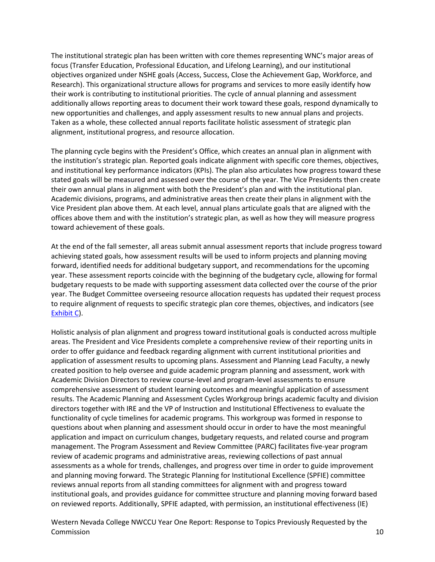The institutional strategic plan has been written with core themes representing WNC's major areas of focus (Transfer Education, Professional Education, and Lifelong Learning), and our institutional objectives organized under NSHE goals (Access, Success, Close the Achievement Gap, Workforce, and Research). This organizational structure allows for programs and services to more easily identify how their work is contributing to institutional priorities. The cycle of annual planning and assessment additionally allows reporting areas to document their work toward these goals, respond dynamically to new opportunities and challenges, and apply assessment results to new annual plans and projects. Taken as a whole, these collected annual reports facilitate holistic assessment of strategic plan alignment, institutional progress, and resource allocation.

The planning cycle begins with the President's Office, which creates an annual plan in alignment with the institution's strategic plan. Reported goals indicate alignment with specific core themes, objectives, and institutional key performance indicators (KPIs). The plan also articulates how progress toward these stated goals will be measured and assessed over the course of the year. The Vice Presidents then create their own annual plans in alignment with both the President's plan and with the institutional plan. Academic divisions, programs, and administrative areas then create their plans in alignment with the Vice President plan above them. At each level, annual plans articulate goals that are aligned with the offices above them and with the institution's strategic plan, as well as how they will measure progress toward achievement of these goals.

At the end of the fall semester, all areas submit annual assessment reports that include progress toward achieving stated goals, how assessment results will be used to inform projects and planning moving forward, identified needs for additional budgetary support, and recommendations for the upcoming year. These assessment reports coincide with the beginning of the budgetary cycle, allowing for formal budgetary requests to be made with supporting assessment data collected over the course of the prior year. The Budget Committee overseeing resource allocation requests has updated their request process to require alignment of requests to specific strategic plan core themes, objectives, and indicators (see [Exhibit C\)](https://drive.google.com/file/d/1xHgqQ78ouhWkokq_D3JLMjHTvvXr2Ye8/view?usp=sharing).

Holistic analysis of plan alignment and progress toward institutional goals is conducted across multiple areas. The President and Vice Presidents complete a comprehensive review of their reporting units in order to offer guidance and feedback regarding alignment with current institutional priorities and application of assessment results to upcoming plans. Assessment and Planning Lead Faculty, a newly created position to help oversee and guide academic program planning and assessment, work with Academic Division Directors to review course-level and program-level assessments to ensure comprehensive assessment of student learning outcomes and meaningful application of assessment results. The Academic Planning and Assessment Cycles Workgroup brings academic faculty and division directors together with IRE and the VP of Instruction and Institutional Effectiveness to evaluate the functionality of cycle timelines for academic programs. This workgroup was formed in response to questions about when planning and assessment should occur in order to have the most meaningful application and impact on curriculum changes, budgetary requests, and related course and program management. The Program Assessment and Review Committee (PARC) facilitates five-year program review of academic programs and administrative areas, reviewing collections of past annual assessments as a whole for trends, challenges, and progress over time in order to guide improvement and planning moving forward. The Strategic Planning for Institutional Excellence (SPFIE) committee reviews annual reports from all standing committees for alignment with and progress toward institutional goals, and provides guidance for committee structure and planning moving forward based on reviewed reports. Additionally, SPFIE adapted, with permission, an institutional effectiveness (IE)

Western Nevada College NWCCU Year One Report: Response to Topics Previously Requested by the **Commission** 10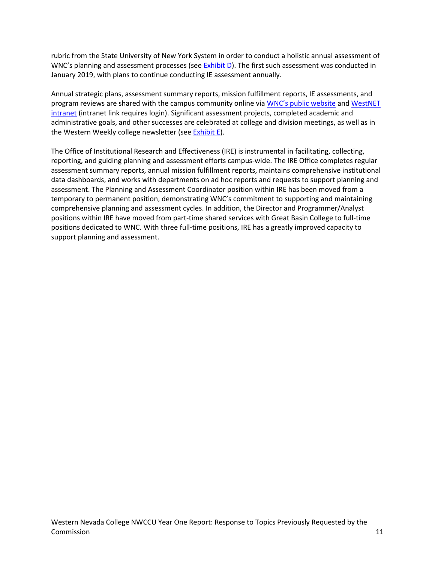rubric from the State University of New York System in order to conduct a holistic annual assessment of WNC's planning and assessment processes (see  $Exhibit D$ ). The first such assessment was conducted in January 2019, with plans to continue conducting IE assessment annually.

Annual strategic plans, assessment summary reports, mission fulfillment reports, IE assessments, and program reviews are shared with the campus community online via [WNC's public](https://www.wnc.edu/institutional-research/strategic-planning/) website an[d WestNET](https://intranet.wnc.edu/assessment/)  [intranet](https://intranet.wnc.edu/assessment/) (intranet link requires login). Significant assessment projects, completed academic and administrative goals, and other successes are celebrated at college and division meetings, as well as in the Western Weekly college newsletter (se[e Exhibit E\)](https://drive.google.com/file/d/1kuGUoSM7SK_bCQqB7B480QOSdCf105hb/view?usp=sharing).

The Office of Institutional Research and Effectiveness (IRE) is instrumental in facilitating, collecting, reporting, and guiding planning and assessment efforts campus-wide. The IRE Office completes regular assessment summary reports, annual mission fulfillment reports, maintains comprehensive institutional data dashboards, and works with departments on ad hoc reports and requests to support planning and assessment. The Planning and Assessment Coordinator position within IRE has been moved from a temporary to permanent position, demonstrating WNC's commitment to supporting and maintaining comprehensive planning and assessment cycles. In addition, the Director and Programmer/Analyst positions within IRE have moved from part-time shared services with Great Basin College to full-time positions dedicated to WNC. With three full-time positions, IRE has a greatly improved capacity to support planning and assessment.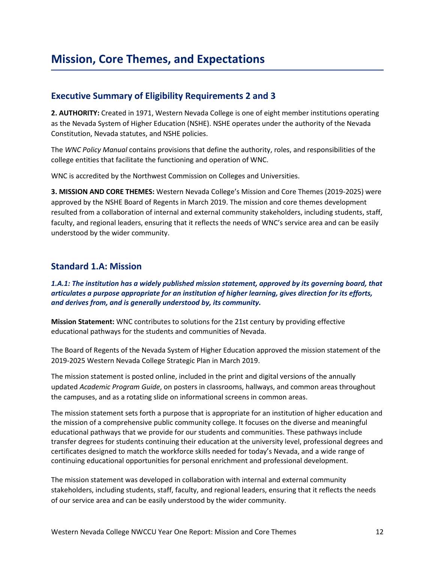### **Executive Summary of Eligibility Requirements 2 and 3**

**2. AUTHORITY:** Created in 1971, Western Nevada College is one of eight member institutions operating as the Nevada System of Higher Education (NSHE). NSHE operates under the authority of the Nevada Constitution, Nevada statutes, and NSHE policies.

The *WNC Policy Manual* contains provisions that define the authority, roles, and responsibilities of the college entities that facilitate the functioning and operation of WNC.

WNC is accredited by the Northwest Commission on Colleges and Universities.

**3. MISSION AND CORE THEMES:** Western Nevada College's Mission and Core Themes (2019-2025) were approved by the NSHE Board of Regents in March 2019. The mission and core themes development resulted from a collaboration of internal and external community stakeholders, including students, staff, faculty, and regional leaders, ensuring that it reflects the needs of WNC's service area and can be easily understood by the wider community.

### **Standard 1.A: Mission**

#### *1.A.1: The institution has a widely published mission statement, approved by its governing board, that articulates a purpose appropriate for an institution of higher learning, gives direction for its efforts, and derives from, and is generally understood by, its community.*

**Mission Statement:** WNC contributes to solutions for the 21st century by providing effective educational pathways for the students and communities of Nevada.

The Board of Regents of the Nevada System of Higher Education approved the mission statement of the 2019-2025 Western Nevada College Strategic Plan in March 2019.

The mission statement is posted online, included in the print and digital versions of the annually updated *Academic Program Guide*, on posters in classrooms, hallways, and common areas throughout the campuses, and as a rotating slide on informational screens in common areas.

The mission statement sets forth a purpose that is appropriate for an institution of higher education and the mission of a comprehensive public community college. It focuses on the diverse and meaningful educational pathways that we provide for our students and communities. These pathways include transfer degrees for students continuing their education at the university level, professional degrees and certificates designed to match the workforce skills needed for today's Nevada, and a wide range of continuing educational opportunities for personal enrichment and professional development.

The mission statement was developed in collaboration with internal and external community stakeholders, including students, staff, faculty, and regional leaders, ensuring that it reflects the needs of our service area and can be easily understood by the wider community.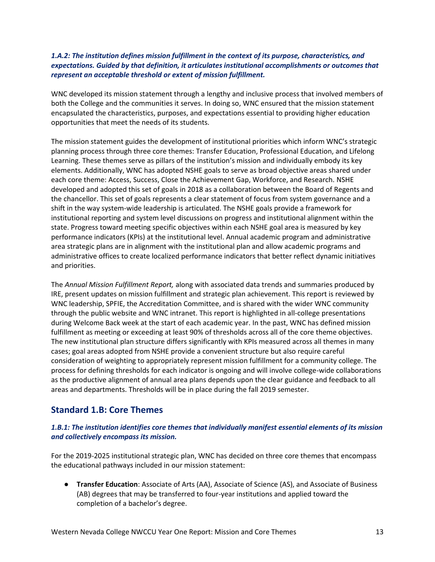#### *1.A.2: The institution defines mission fulfillment in the context of its purpose, characteristics, and expectations. Guided by that definition, it articulates institutional accomplishments or outcomes that represent an acceptable threshold or extent of mission fulfillment.*

WNC developed its mission statement through a lengthy and inclusive process that involved members of both the College and the communities it serves. In doing so, WNC ensured that the mission statement encapsulated the characteristics, purposes, and expectations essential to providing higher education opportunities that meet the needs of its students.

The mission statement guides the development of institutional priorities which inform WNC's strategic planning process through three core themes: Transfer Education, Professional Education, and Lifelong Learning. These themes serve as pillars of the institution's mission and individually embody its key elements. Additionally, WNC has adopted NSHE goals to serve as broad objective areas shared under each core theme: Access, Success, Close the Achievement Gap, Workforce, and Research. NSHE developed and adopted this set of goals in 2018 as a collaboration between the Board of Regents and the chancellor. This set of goals represents a clear statement of focus from system governance and a shift in the way system-wide leadership is articulated. The NSHE goals provide a framework for institutional reporting and system level discussions on progress and institutional alignment within the state. Progress toward meeting specific objectives within each NSHE goal area is measured by key performance indicators (KPIs) at the institutional level. Annual academic program and administrative area strategic plans are in alignment with the institutional plan and allow academic programs and administrative offices to create localized performance indicators that better reflect dynamic initiatives and priorities.

The *Annual Mission Fulfillment Report,* along with associated data trends and summaries produced by IRE, present updates on mission fulfillment and strategic plan achievement. This report is reviewed by WNC leadership, SPFIE, the Accreditation Committee, and is shared with the wider WNC community through the public website and WNC intranet. This report is highlighted in all-college presentations during Welcome Back week at the start of each academic year. In the past, WNC has defined mission fulfillment as meeting or exceeding at least 90% of thresholds across all of the core theme objectives. The new institutional plan structure differs significantly with KPIs measured across all themes in many cases; goal areas adopted from NSHE provide a convenient structure but also require careful consideration of weighting to appropriately represent mission fulfillment for a community college. The process for defining thresholds for each indicator is ongoing and will involve college-wide collaborations as the productive alignment of annual area plans depends upon the clear guidance and feedback to all areas and departments. Thresholds will be in place during the fall 2019 semester.

## **Standard 1.B: Core Themes**

#### *1.B.1: The institution identifies core themes that individually manifest essential elements of its mission and collectively encompass its mission.*

For the 2019-2025 institutional strategic plan, WNC has decided on three core themes that encompass the educational pathways included in our mission statement:

● **Transfer Education**: Associate of Arts (AA), Associate of Science (AS), and Associate of Business (AB) degrees that may be transferred to four-year institutions and applied toward the completion of a bachelor's degree.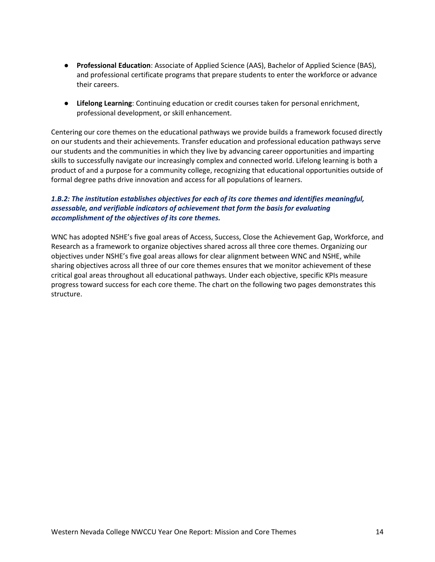- **Professional Education**: Associate of Applied Science (AAS), Bachelor of Applied Science (BAS), and professional certificate programs that prepare students to enter the workforce or advance their careers.
- **Lifelong Learning**: Continuing education or credit courses taken for personal enrichment, professional development, or skill enhancement.

Centering our core themes on the educational pathways we provide builds a framework focused directly on our students and their achievements. Transfer education and professional education pathways serve our students and the communities in which they live by advancing career opportunities and imparting skills to successfully navigate our increasingly complex and connected world. Lifelong learning is both a product of and a purpose for a community college, recognizing that educational opportunities outside of formal degree paths drive innovation and access for all populations of learners.

#### *1.B.2: The institution establishes objectives for each of its core themes and identifies meaningful, assessable, and verifiable indicators of achievement that form the basis for evaluating accomplishment of the objectives of its core themes.*

WNC has adopted NSHE's five goal areas of Access, Success, Close the Achievement Gap, Workforce, and Research as a framework to organize objectives shared across all three core themes. Organizing our objectives under NSHE's five goal areas allows for clear alignment between WNC and NSHE, while sharing objectives across all three of our core themes ensures that we monitor achievement of these critical goal areas throughout all educational pathways. Under each objective, specific KPIs measure progress toward success for each core theme. The chart on the following two pages demonstrates this structure.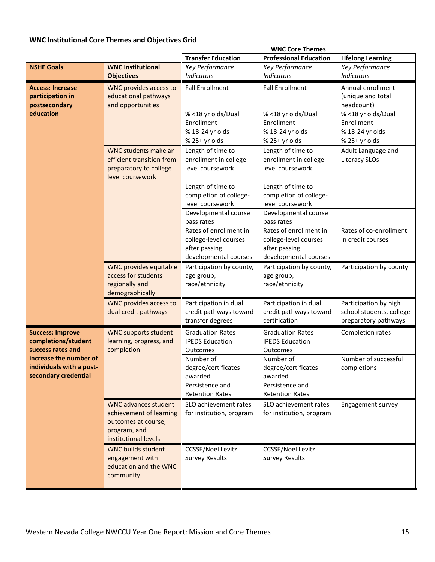## **WNC Institutional Core Themes and Objectives Grid**

|                                                                            |                                                                                                                       |                                                                                           | <b>WNC Core Themes</b>                                                                    |                                                                            |
|----------------------------------------------------------------------------|-----------------------------------------------------------------------------------------------------------------------|-------------------------------------------------------------------------------------------|-------------------------------------------------------------------------------------------|----------------------------------------------------------------------------|
|                                                                            |                                                                                                                       | <b>Transfer Education</b>                                                                 | <b>Professional Education</b>                                                             | <b>Lifelong Learning</b>                                                   |
| <b>NSHE Goals</b>                                                          | <b>WNC Institutional</b><br><b>Objectives</b>                                                                         | Key Performance<br><b>Indicators</b>                                                      | Key Performance<br><b>Indicators</b>                                                      | Key Performance<br><b>Indicators</b>                                       |
| <b>Access: Increase</b><br>participation in<br>postsecondary<br>education  | <b>WNC provides access to</b><br>educational pathways<br>and opportunities                                            | <b>Fall Enrollment</b><br>% <18 yr olds/Dual                                              | <b>Fall Enrollment</b><br>% <18 yr olds/Dual                                              | Annual enrollment<br>(unique and total<br>headcount)<br>% <18 yr olds/Dual |
|                                                                            |                                                                                                                       | Enrollment<br>% 18-24 yr olds<br>% 25+ yr olds                                            | Enrollment<br>% 18-24 yr olds<br>% 25+ yr olds                                            | Enrollment<br>% 18-24 yr olds<br>% 25+ yr olds                             |
|                                                                            | WNC students make an<br>efficient transition from<br>preparatory to college<br>level coursework                       | Length of time to<br>enrollment in college-<br>level coursework                           | Length of time to<br>enrollment in college-<br>level coursework                           | Adult Language and<br><b>Literacy SLOs</b>                                 |
|                                                                            |                                                                                                                       | Length of time to<br>completion of college-<br>level coursework                           | Length of time to<br>completion of college-<br>level coursework                           |                                                                            |
|                                                                            |                                                                                                                       | Developmental course<br>pass rates                                                        | Developmental course<br>pass rates                                                        |                                                                            |
|                                                                            |                                                                                                                       | Rates of enrollment in<br>college-level courses<br>after passing<br>developmental courses | Rates of enrollment in<br>college-level courses<br>after passing<br>developmental courses | Rates of co-enrollment<br>in credit courses                                |
|                                                                            | <b>WNC provides equitable</b><br>access for students<br>regionally and<br>demographically                             | Participation by county,<br>age group,<br>race/ethnicity                                  | Participation by county,<br>age group,<br>race/ethnicity                                  | Participation by county                                                    |
|                                                                            | <b>WNC provides access to</b><br>dual credit pathways                                                                 | Participation in dual<br>credit pathways toward<br>transfer degrees                       | Participation in dual<br>credit pathways toward<br>certification                          | Participation by high<br>school students, college<br>preparatory pathways  |
| <b>Success: Improve</b>                                                    | <b>WNC supports student</b>                                                                                           | <b>Graduation Rates</b>                                                                   | <b>Graduation Rates</b>                                                                   | Completion rates                                                           |
| completions/student<br>success rates and                                   | learning, progress, and<br>completion                                                                                 | <b>IPEDS Education</b><br>Outcomes                                                        | <b>IPEDS Education</b><br>Outcomes                                                        |                                                                            |
| increase the number of<br>individuals with a post-<br>secondary credential |                                                                                                                       | Number of<br>degree/certificates<br>awarded                                               | Number of<br>degree/certificates<br>awarded                                               | Number of successful<br>completions                                        |
|                                                                            |                                                                                                                       | Persistence and<br><b>Retention Rates</b>                                                 | Persistence and<br><b>Retention Rates</b>                                                 |                                                                            |
|                                                                            | <b>WNC advances student</b><br>achievement of learning<br>outcomes at course,<br>program, and<br>institutional levels | SLO achievement rates<br>for institution, program                                         | SLO achievement rates<br>for institution, program                                         | Engagement survey                                                          |
|                                                                            | <b>WNC builds student</b><br>engagement with<br>education and the WNC<br>community                                    | <b>CCSSE/Noel Levitz</b><br><b>Survey Results</b>                                         | <b>CCSSE/Noel Levitz</b><br><b>Survey Results</b>                                         |                                                                            |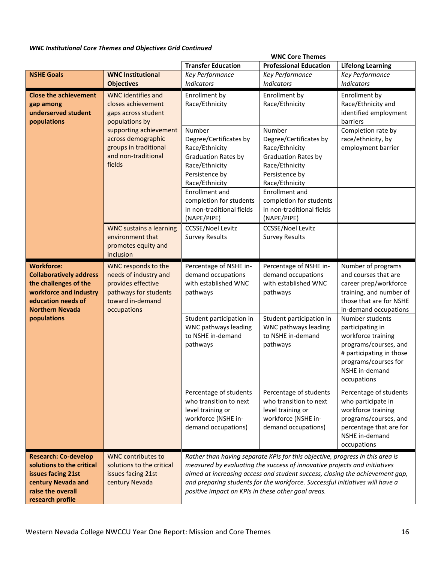### *WNC Institutional Core Themes and Objectives Grid Continued*

|                                | <b>WNC Core Themes</b>                             |                                                                                                                                                           |                                                                               |                                           |
|--------------------------------|----------------------------------------------------|-----------------------------------------------------------------------------------------------------------------------------------------------------------|-------------------------------------------------------------------------------|-------------------------------------------|
|                                |                                                    | <b>Transfer Education</b>                                                                                                                                 | <b>Professional Education</b>                                                 | <b>Lifelong Learning</b>                  |
| <b>NSHE Goals</b>              | <b>WNC Institutional</b>                           | Key Performance                                                                                                                                           | Key Performance                                                               | Key Performance                           |
|                                | <b>Objectives</b>                                  | Indicators                                                                                                                                                | <b>Indicators</b>                                                             | <b>Indicators</b>                         |
| <b>Close the achievement</b>   | <b>WNC</b> identifies and                          | Enrollment by                                                                                                                                             | Enrollment by                                                                 | Enrollment by                             |
| gap among                      | closes achievement                                 | Race/Ethnicity                                                                                                                                            | Race/Ethnicity                                                                | Race/Ethnicity and                        |
| underserved student            | gaps across student                                |                                                                                                                                                           |                                                                               | identified employment                     |
| populations                    | populations by<br>supporting achievement           | Number                                                                                                                                                    | Number                                                                        | barriers                                  |
|                                | across demographic                                 | Degree/Certificates by                                                                                                                                    | Degree/Certificates by                                                        | Completion rate by<br>race/ethnicity, by  |
|                                | groups in traditional                              | Race/Ethnicity                                                                                                                                            | Race/Ethnicity                                                                | employment barrier                        |
|                                | and non-traditional                                | <b>Graduation Rates by</b>                                                                                                                                | <b>Graduation Rates by</b>                                                    |                                           |
|                                | fields                                             | Race/Ethnicity                                                                                                                                            | Race/Ethnicity                                                                |                                           |
|                                |                                                    | Persistence by                                                                                                                                            | Persistence by                                                                |                                           |
|                                |                                                    | Race/Ethnicity                                                                                                                                            | Race/Ethnicity                                                                |                                           |
|                                |                                                    | <b>Enrollment</b> and                                                                                                                                     | Enrollment and                                                                |                                           |
|                                |                                                    | completion for students                                                                                                                                   | completion for students                                                       |                                           |
|                                |                                                    | in non-traditional fields                                                                                                                                 | in non-traditional fields                                                     |                                           |
|                                |                                                    | (NAPE/PIPE)                                                                                                                                               | (NAPE/PIPE)                                                                   |                                           |
|                                | <b>WNC sustains a learning</b><br>environment that | <b>CCSSE/Noel Levitz</b><br><b>Survey Results</b>                                                                                                         | <b>CCSSE/Noel Levitz</b><br><b>Survey Results</b>                             |                                           |
|                                | promotes equity and                                |                                                                                                                                                           |                                                                               |                                           |
|                                | inclusion                                          |                                                                                                                                                           |                                                                               |                                           |
| <b>Workforce:</b>              | WNC responds to the                                | Percentage of NSHE in-                                                                                                                                    | Percentage of NSHE in-                                                        | Number of programs                        |
| <b>Collaboratively address</b> | needs of industry and                              | demand occupations                                                                                                                                        | demand occupations                                                            | and courses that are                      |
| the challenges of the          | provides effective                                 | with established WNC                                                                                                                                      | with established WNC                                                          | career prep/workforce                     |
| workforce and industry         | pathways for students                              | pathways                                                                                                                                                  | pathways                                                                      | training, and number of                   |
| education needs of             | toward in-demand                                   |                                                                                                                                                           |                                                                               | those that are for NSHE                   |
| <b>Northern Nevada</b>         | occupations                                        |                                                                                                                                                           |                                                                               | in-demand occupations                     |
| populations                    |                                                    | Student participation in<br>WNC pathways leading                                                                                                          | Student participation in<br>WNC pathways leading                              | Number students<br>participating in       |
|                                |                                                    | to NSHE in-demand                                                                                                                                         | to NSHE in-demand                                                             | workforce training                        |
|                                |                                                    | pathways                                                                                                                                                  | pathways                                                                      | programs/courses, and                     |
|                                |                                                    |                                                                                                                                                           |                                                                               | # participating in those                  |
|                                |                                                    |                                                                                                                                                           |                                                                               | programs/courses for                      |
|                                |                                                    |                                                                                                                                                           |                                                                               | NSHE in-demand                            |
|                                |                                                    |                                                                                                                                                           |                                                                               | occupations                               |
|                                |                                                    | Percentage of students                                                                                                                                    | Percentage of students                                                        | Percentage of students                    |
|                                |                                                    | who transition to next                                                                                                                                    | who transition to next                                                        | who participate in                        |
|                                |                                                    | level training or                                                                                                                                         | level training or                                                             | workforce training                        |
|                                |                                                    | workforce (NSHE in-                                                                                                                                       | workforce (NSHE in-                                                           | programs/courses, and                     |
|                                |                                                    | demand occupations)                                                                                                                                       | demand occupations)                                                           | percentage that are for<br>NSHE in-demand |
|                                |                                                    |                                                                                                                                                           |                                                                               | occupations                               |
| <b>Research: Co-develop</b>    | <b>WNC contributes to</b>                          |                                                                                                                                                           | Rather than having separate KPIs for this objective, progress in this area is |                                           |
| solutions to the critical      | solutions to the critical                          |                                                                                                                                                           |                                                                               |                                           |
| issues facing 21st             | issues facing 21st                                 | measured by evaluating the success of innovative projects and initiatives<br>aimed at increasing access and student success, closing the achievement gap, |                                                                               |                                           |
| century Nevada and             | century Nevada                                     |                                                                                                                                                           | and preparing students for the workforce. Successful initiatives will have a  |                                           |
| raise the overall              |                                                    | positive impact on KPIs in these other goal areas.                                                                                                        |                                                                               |                                           |
| research profile               |                                                    |                                                                                                                                                           |                                                                               |                                           |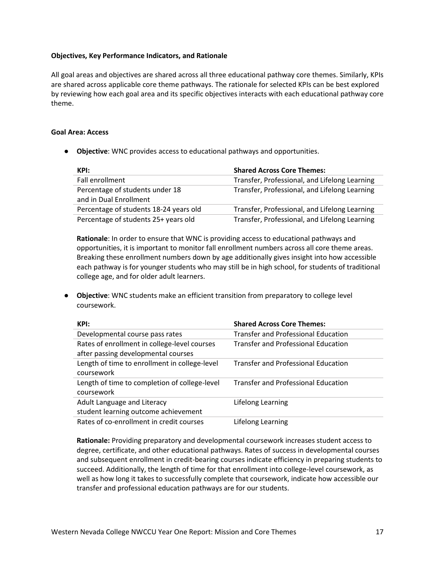#### **Objectives, Key Performance Indicators, and Rationale**

All goal areas and objectives are shared across all three educational pathway core themes. Similarly, KPIs are shared across applicable core theme pathways. The rationale for selected KPIs can be best explored by reviewing how each goal area and its specific objectives interacts with each educational pathway core theme.

#### **Goal Area: Access**

● **Objective**: WNC provides access to educational pathways and opportunities.

| KPI:                                                      | <b>Shared Across Core Themes:</b>             |
|-----------------------------------------------------------|-----------------------------------------------|
| Fall enrollment                                           | Transfer, Professional, and Lifelong Learning |
| Percentage of students under 18<br>and in Dual Enrollment | Transfer, Professional, and Lifelong Learning |
| Percentage of students 18-24 years old                    | Transfer, Professional, and Lifelong Learning |
| Percentage of students 25+ years old                      | Transfer, Professional, and Lifelong Learning |

**Rationale**: In order to ensure that WNC is providing access to educational pathways and opportunities, it is important to monitor fall enrollment numbers across all core theme areas. Breaking these enrollment numbers down by age additionally gives insight into how accessible each pathway is for younger students who may still be in high school, for students of traditional college age, and for older adult learners.

● **Objective**: WNC students make an efficient transition from preparatory to college level coursework.

| KPI:                                          | <b>Shared Across Core Themes:</b>          |
|-----------------------------------------------|--------------------------------------------|
| Developmental course pass rates               | <b>Transfer and Professional Education</b> |
| Rates of enrollment in college-level courses  | <b>Transfer and Professional Education</b> |
| after passing developmental courses           |                                            |
| Length of time to enrollment in college-level | <b>Transfer and Professional Education</b> |
| coursework                                    |                                            |
| Length of time to completion of college-level | <b>Transfer and Professional Education</b> |
| coursework                                    |                                            |
| Adult Language and Literacy                   | Lifelong Learning                          |
| student learning outcome achievement          |                                            |
| Rates of co-enrollment in credit courses      | Lifelong Learning                          |

**Rationale:** Providing preparatory and developmental coursework increases student access to degree, certificate, and other educational pathways. Rates of success in developmental courses and subsequent enrollment in credit-bearing courses indicate efficiency in preparing students to succeed. Additionally, the length of time for that enrollment into college-level coursework, as well as how long it takes to successfully complete that coursework, indicate how accessible our transfer and professional education pathways are for our students.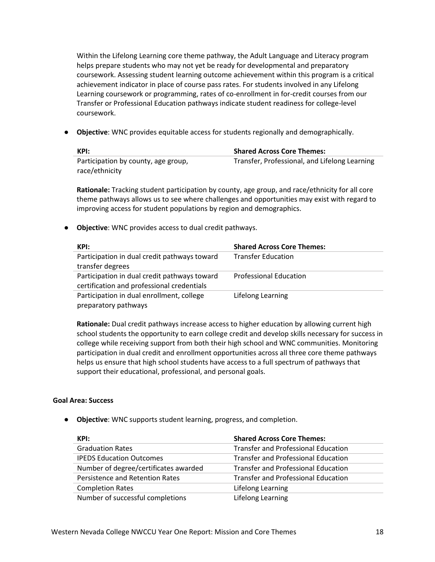Within the Lifelong Learning core theme pathway, the Adult Language and Literacy program helps prepare students who may not yet be ready for developmental and preparatory coursework. Assessing student learning outcome achievement within this program is a critical achievement indicator in place of course pass rates. For students involved in any Lifelong Learning coursework or programming, rates of co-enrollment in for-credit courses from our Transfer or Professional Education pathways indicate student readiness for college-level coursework.

● **Objective**: WNC provides equitable access for students regionally and demographically.

| KPI:                                | <b>Shared Across Core Themes:</b>             |
|-------------------------------------|-----------------------------------------------|
| Participation by county, age group, | Transfer, Professional, and Lifelong Learning |
| race/ethnicity                      |                                               |

**Rationale:** Tracking student participation by county, age group, and race/ethnicity for all core theme pathways allows us to see where challenges and opportunities may exist with regard to improving access for student populations by region and demographics.

● **Objective**: WNC provides access to dual credit pathways.

| KPI:                                         | <b>Shared Across Core Themes:</b> |
|----------------------------------------------|-----------------------------------|
| Participation in dual credit pathways toward | <b>Transfer Education</b>         |
| transfer degrees                             |                                   |
| Participation in dual credit pathways toward | <b>Professional Education</b>     |
| certification and professional credentials   |                                   |
| Participation in dual enrollment, college    | Lifelong Learning                 |
| preparatory pathways                         |                                   |

**Rationale:** Dual credit pathways increase access to higher education by allowing current high school students the opportunity to earn college credit and develop skills necessary for success in college while receiving support from both their high school and WNC communities. Monitoring participation in dual credit and enrollment opportunities across all three core theme pathways helps us ensure that high school students have access to a full spectrum of pathways that support their educational, professional, and personal goals.

#### **Goal Area: Success**

● **Objective**: WNC supports student learning, progress, and completion.

| KPI:                                  | <b>Shared Across Core Themes:</b>          |
|---------------------------------------|--------------------------------------------|
| <b>Graduation Rates</b>               | <b>Transfer and Professional Education</b> |
| <b>IPEDS Education Outcomes</b>       | <b>Transfer and Professional Education</b> |
| Number of degree/certificates awarded | <b>Transfer and Professional Education</b> |
| Persistence and Retention Rates       | <b>Transfer and Professional Education</b> |
| <b>Completion Rates</b>               | Lifelong Learning                          |
| Number of successful completions      | Lifelong Learning                          |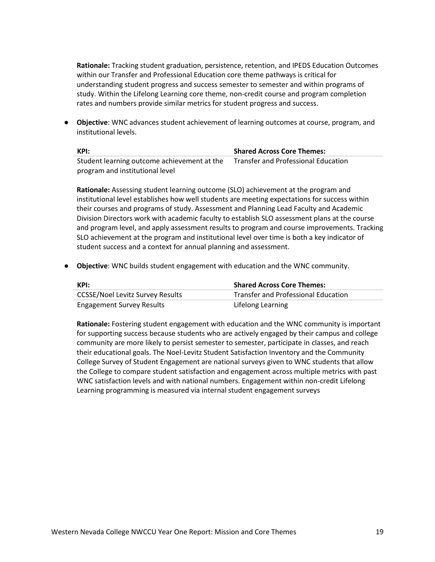**Rationale:** Tracking student graduation, persistence, retention, and IPEDS Education Outcomes within our Transfer and Professional Education core theme pathways is critical for understanding student progress and success semester to semester and within programs of study. Within the Lifelong Learning core theme, non-credit course and program completion rates and numbers provide similar metrics for student progress and success.

● **Objective**: WNC advances student achievement of learning outcomes at course, program, and institutional levels.

| KPI:                                        | <b>Shared Across Core Themes:</b>          |
|---------------------------------------------|--------------------------------------------|
| Student learning outcome achievement at the | <b>Transfer and Professional Education</b> |
| program and institutional level             |                                            |

**Rationale:** Assessing student learning outcome (SLO) achievement at the program and institutional level establishes how well students are meeting expectations for success within their courses and programs of study. Assessment and Planning Lead Faculty and Academic Division Directors work with academic faculty to establish SLO assessment plans at the course and program level, and apply assessment results to program and course improvements. Tracking SLO achievement at the program and institutional level over time is both a key indicator of student success and a context for annual planning and assessment.

● **Objective**: WNC builds student engagement with education and the WNC community.

| KPI:                                    | <b>Shared Across Core Themes:</b>   |
|-----------------------------------------|-------------------------------------|
| <b>CCSSE/Noel Levitz Survey Results</b> | Transfer and Professional Education |
| <b>Engagement Survey Results</b>        | Lifelong Learning                   |

**Rationale:** Fostering student engagement with education and the WNC community is important for supporting success because students who are actively engaged by their campus and college community are more likely to persist semester to semester, participate in classes, and reach their educational goals. The Noel-Levitz Student Satisfaction Inventory and the Community College Survey of Student Engagement are national surveys given to WNC students that allow the College to compare student satisfaction and engagement across multiple metrics with past WNC satisfaction levels and with national numbers. Engagement within non-credit Lifelong Learning programming is measured via internal student engagement surveys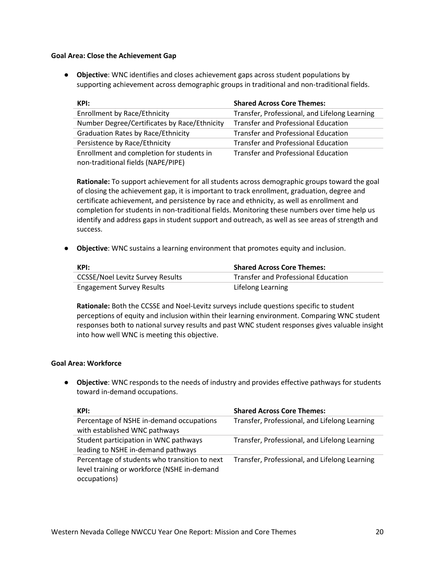#### **Goal Area: Close the Achievement Gap**

● **Objective**: WNC identifies and closes achievement gaps across student populations by supporting achievement across demographic groups in traditional and non-traditional fields.

| KPI:                                         | <b>Shared Across Core Themes:</b>             |
|----------------------------------------------|-----------------------------------------------|
| <b>Enrollment by Race/Ethnicity</b>          | Transfer, Professional, and Lifelong Learning |
| Number Degree/Certificates by Race/Ethnicity | <b>Transfer and Professional Education</b>    |
| <b>Graduation Rates by Race/Ethnicity</b>    | <b>Transfer and Professional Education</b>    |
| Persistence by Race/Ethnicity                | Transfer and Professional Education           |
| Enrollment and completion for students in    | <b>Transfer and Professional Education</b>    |
| non-traditional fields (NAPE/PIPE)           |                                               |

**Rationale:** To support achievement for all students across demographic groups toward the goal of closing the achievement gap, it is important to track enrollment, graduation, degree and certificate achievement, and persistence by race and ethnicity, as well as enrollment and completion for students in non-traditional fields. Monitoring these numbers over time help us identify and address gaps in student support and outreach, as well as see areas of strength and success.

● **Objective**: WNC sustains a learning environment that promotes equity and inclusion.

| KPI:                                    | <b>Shared Across Core Themes:</b>          |
|-----------------------------------------|--------------------------------------------|
| <b>CCSSE/Noel Levitz Survey Results</b> | <b>Transfer and Professional Education</b> |
| <b>Engagement Survey Results</b>        | Lifelong Learning                          |

**Rationale:** Both the CCSSE and Noel-Levitz surveys include questions specific to student perceptions of equity and inclusion within their learning environment. Comparing WNC student responses both to national survey results and past WNC student responses gives valuable insight into how well WNC is meeting this objective.

#### **Goal Area: Workforce**

● **Objective**: WNC responds to the needs of industry and provides effective pathways for students toward in-demand occupations.

| KPI:                                          | <b>Shared Across Core Themes:</b>             |
|-----------------------------------------------|-----------------------------------------------|
| Percentage of NSHE in-demand occupations      | Transfer, Professional, and Lifelong Learning |
| with established WNC pathways                 |                                               |
| Student participation in WNC pathways         | Transfer, Professional, and Lifelong Learning |
| leading to NSHE in-demand pathways            |                                               |
| Percentage of students who transition to next | Transfer, Professional, and Lifelong Learning |
| level training or workforce (NSHE in-demand   |                                               |
| occupations)                                  |                                               |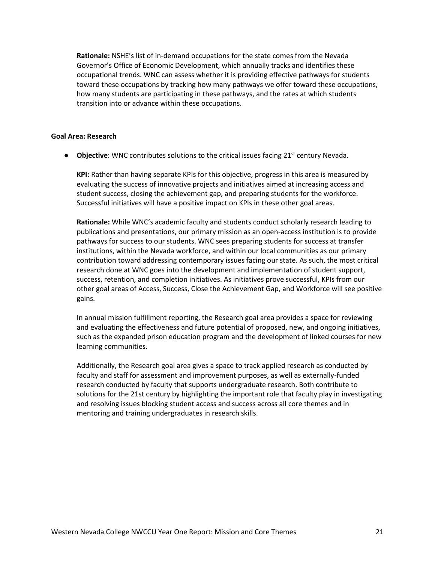**Rationale:** NSHE's list of in-demand occupations for the state comes from the Nevada Governor's Office of Economic Development, which annually tracks and identifies these occupational trends. WNC can assess whether it is providing effective pathways for students toward these occupations by tracking how many pathways we offer toward these occupations, how many students are participating in these pathways, and the rates at which students transition into or advance within these occupations.

#### **Goal Area: Research**

● **Objective**: WNC contributes solutions to the critical issues facing 21<sup>st</sup> century Nevada.

**KPI:** Rather than having separate KPIs for this objective, progress in this area is measured by evaluating the success of innovative projects and initiatives aimed at increasing access and student success, closing the achievement gap, and preparing students for the workforce. Successful initiatives will have a positive impact on KPIs in these other goal areas.

**Rationale:** While WNC's academic faculty and students conduct scholarly research leading to publications and presentations, our primary mission as an open-access institution is to provide pathways for success to our students. WNC sees preparing students for success at transfer institutions, within the Nevada workforce, and within our local communities as our primary contribution toward addressing contemporary issues facing our state. As such, the most critical research done at WNC goes into the development and implementation of student support, success, retention, and completion initiatives. As initiatives prove successful, KPIs from our other goal areas of Access, Success, Close the Achievement Gap, and Workforce will see positive gains.

In annual mission fulfillment reporting, the Research goal area provides a space for reviewing and evaluating the effectiveness and future potential of proposed, new, and ongoing initiatives, such as the expanded prison education program and the development of linked courses for new learning communities.

Additionally, the Research goal area gives a space to track applied research as conducted by faculty and staff for assessment and improvement purposes, as well as externally-funded research conducted by faculty that supports undergraduate research. Both contribute to solutions for the 21st century by highlighting the important role that faculty play in investigating and resolving issues blocking student access and success across all core themes and in mentoring and training undergraduates in research skills.